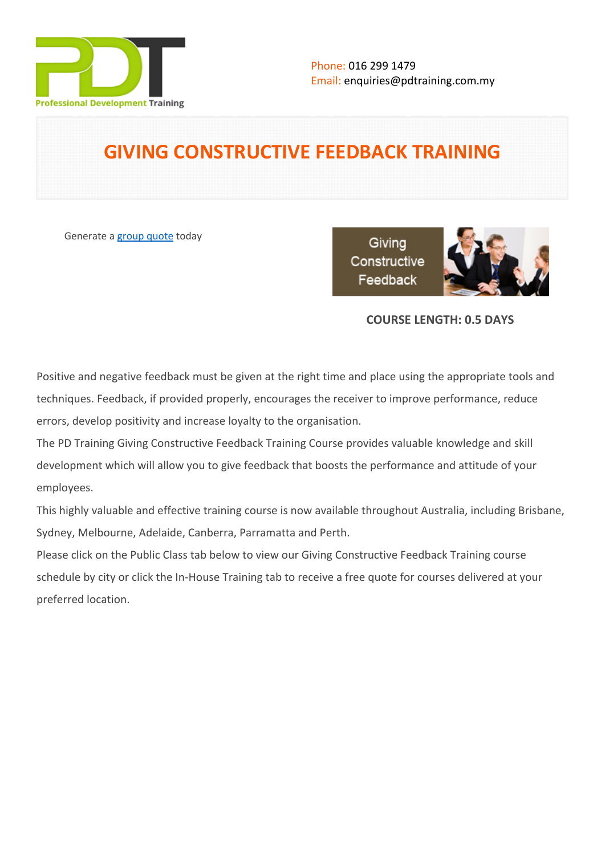

# **GIVING CONSTRUCTIVE FEEDBACK TRAINING**

Generate a [group quote](https://pdtraining.com.my/inhouse-training-quote?cse=PDT9062) today

Giving Constructive Feedback



# **COURSE LENGTH: 0.5 DAYS**

Positive and negative feedback must be given at the right time and place using the appropriate tools and techniques. Feedback, if provided properly, encourages the receiver to improve performance, reduce errors, develop positivity and increase loyalty to the organisation.

The PD Training Giving Constructive Feedback Training Course provides valuable knowledge and skill development which will allow you to give feedback that boosts the performance and attitude of your employees.

This highly valuable and effective training course is now available throughout Australia, including Brisbane, Sydney, Melbourne, Adelaide, Canberra, Parramatta and Perth.

Please click on the Public Class tab below to view our Giving Constructive Feedback Training course schedule by city or click the In-House Training tab to receive a free quote for courses delivered at your preferred location.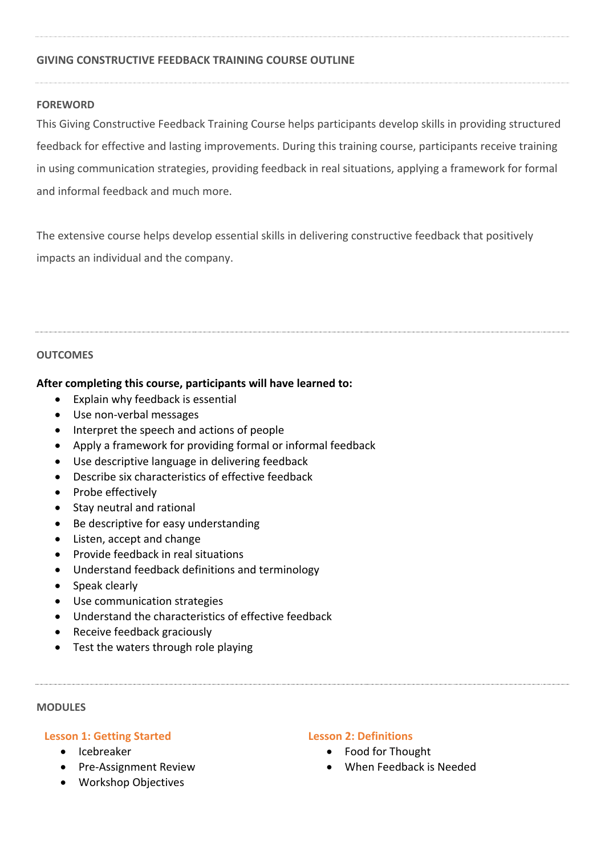## **GIVING CONSTRUCTIVE FEEDBACK TRAINING COURSE OUTLINE**

### **FOREWORD**

This Giving Constructive Feedback Training Course helps participants develop skills in providing structured feedback for effective and lasting improvements. During this training course, participants receive training in using communication strategies, providing feedback in real situations, applying a framework for formal and informal feedback and much more.

The extensive course helps develop essential skills in delivering constructive feedback that positively impacts an individual and the company.

#### **OUTCOMES**

### **After completing this course, participants will have learned to:**

- Explain why feedback is essential
- Use non-verbal messages
- Interpret the speech and actions of people
- Apply a framework for providing formal or informal feedback
- Use descriptive language in delivering feedback
- Describe six characteristics of effective feedback
- Probe effectively
- Stay neutral and rational
- Be descriptive for easy understanding
- Listen, accept and change
- Provide feedback in real situations
- Understand feedback definitions and terminology
- Speak clearly
- Use communication strategies
- Understand the characteristics of effective feedback
- Receive feedback graciously
- Test the waters through role playing

#### **MODULES**

#### **Lesson 1: Getting Started**

- Icebreaker
- Pre-Assignment Review
- Workshop Objectives

### **Lesson 2: Definitions**

- Food for Thought
- When Feedback is Needed